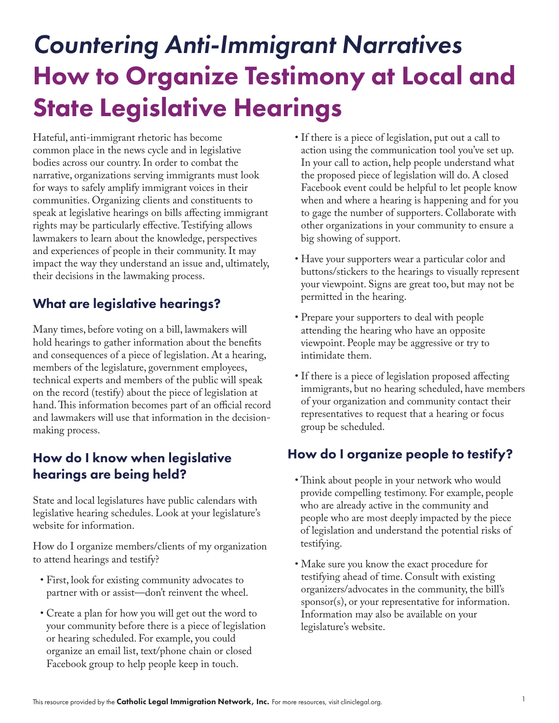# *Countering Anti-Immigrant Narratives* How to Organize Testimony at Local and State Legislative Hearings

Hateful, anti-immigrant rhetoric has become common place in the news cycle and in legislative bodies across our country. In order to combat the narrative, organizations serving immigrants must look for ways to safely amplify immigrant voices in their communities. Organizing clients and constituents to speak at legislative hearings on bills affecting immigrant rights may be particularly effective. Testifying allows lawmakers to learn about the knowledge, perspectives and experiences of people in their community. It may impact the way they understand an issue and, ultimately, their decisions in the lawmaking process.

### What are legislative hearings?

Many times, before voting on a bill, lawmakers will hold hearings to gather information about the benefits and consequences of a piece of legislation. At a hearing, members of the legislature, government employees, technical experts and members of the public will speak on the record (testify) about the piece of legislation at hand. This information becomes part of an official record and lawmakers will use that information in the decisionmaking process.

#### How do I know when legislative hearings are being held?

State and local legislatures have public calendars with legislative hearing schedules. Look at your legislature's website for information.

How do I organize members/clients of my organization to attend hearings and testify?

- First, look for existing community advocates to partner with or assist—don't reinvent the wheel.
- Create a plan for how you will get out the word to your community before there is a piece of legislation or hearing scheduled. For example, you could organize an email list, text/phone chain or closed Facebook group to help people keep in touch.
- If there is a piece of legislation, put out a call to action using the communication tool you've set up. In your call to action, help people understand what the proposed piece of legislation will do. A closed Facebook event could be helpful to let people know when and where a hearing is happening and for you to gage the number of supporters. Collaborate with other organizations in your community to ensure a big showing of support.
- Have your supporters wear a particular color and buttons/stickers to the hearings to visually represent your viewpoint. Signs are great too, but may not be permitted in the hearing.
- Prepare your supporters to deal with people attending the hearing who have an opposite viewpoint. People may be aggressive or try to intimidate them.
- If there is a piece of legislation proposed affecting immigrants, but no hearing scheduled, have members of your organization and community contact their representatives to request that a hearing or focus group be scheduled.

#### How do I organize people to testify?

- Think about people in your network who would provide compelling testimony. For example, people who are already active in the community and people who are most deeply impacted by the piece of legislation and understand the potential risks of testifying.
- Make sure you know the exact procedure for testifying ahead of time. Consult with existing organizers/advocates in the community, the bill's sponsor(s), or your representative for information. Information may also be available on your legislature's website.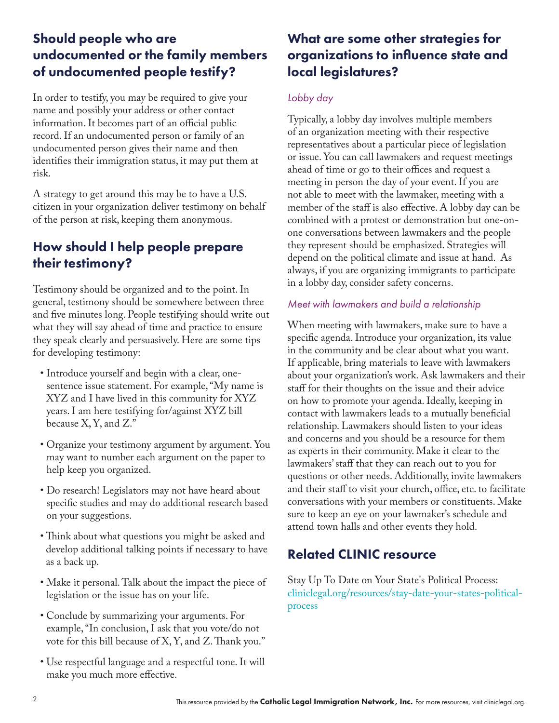#### Should people who are undocumented or the family members of undocumented people testify?

In order to testify, you may be required to give your name and possibly your address or other contact information. It becomes part of an official public record. If an undocumented person or family of an undocumented person gives their name and then identifies their immigration status, it may put them at risk.

A strategy to get around this may be to have a U.S. citizen in your organization deliver testimony on behalf of the person at risk, keeping them anonymous.

#### How should I help people prepare their testimony?

Testimony should be organized and to the point. In general, testimony should be somewhere between three and five minutes long. People testifying should write out what they will say ahead of time and practice to ensure they speak clearly and persuasively. Here are some tips for developing testimony:

- Introduce yourself and begin with a clear, onesentence issue statement. For example, "My name is XYZ and I have lived in this community for XYZ years. I am here testifying for/against XYZ bill because X, Y, and Z."
- Organize your testimony argument by argument. You may want to number each argument on the paper to help keep you organized.
- Do research! Legislators may not have heard about specific studies and may do additional research based on your suggestions.
- Think about what questions you might be asked and develop additional talking points if necessary to have as a back up.
- Make it personal. Talk about the impact the piece of legislation or the issue has on your life.
- Conclude by summarizing your arguments. For example, "In conclusion, I ask that you vote/do not vote for this bill because of X, Y, and Z. Thank you."
- Use respectful language and a respectful tone. It will make you much more effective.

#### What are some other strategies for organizations to influence state and local legislatures?

#### *Lobby day*

Typically, a lobby day involves multiple members of an organization meeting with their respective representatives about a particular piece of legislation or issue. You can call lawmakers and request meetings ahead of time or go to their offices and request a meeting in person the day of your event. If you are not able to meet with the lawmaker, meeting with a member of the staff is also effective. A lobby day can be combined with a protest or demonstration but one-onone conversations between lawmakers and the people they represent should be emphasized. Strategies will depend on the political climate and issue at hand. As always, if you are organizing immigrants to participate in a lobby day, consider safety concerns.

#### *Meet with lawmakers and build a relationship*

When meeting with lawmakers, make sure to have a specific agenda. Introduce your organization, its value in the community and be clear about what you want. If applicable, bring materials to leave with lawmakers about your organization's work. Ask lawmakers and their staff for their thoughts on the issue and their advice on how to promote your agenda. Ideally, keeping in contact with lawmakers leads to a mutually beneficial relationship. Lawmakers should listen to your ideas and concerns and you should be a resource for them as experts in their community. Make it clear to the lawmakers' staff that they can reach out to you for questions or other needs. Additionally, invite lawmakers and their staff to visit your church, office, etc. to facilitate conversations with your members or constituents. Make sure to keep an eye on your lawmaker's schedule and attend town halls and other events they hold.

### Related CLINIC resource

Stay Up To Date on Your State's Political Process: [cliniclegal.org/resources/stay-date-your-states-political](https://cliniclegal.org/resources/stay-date-your-states-political-process)[process](https://cliniclegal.org/resources/stay-date-your-states-political-process)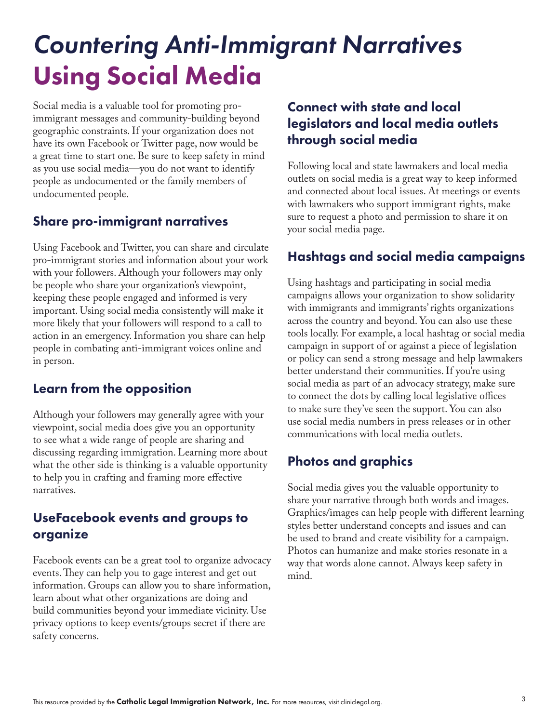# *Countering Anti-Immigrant Narratives* Using Social Media

Social media is a valuable tool for promoting proimmigrant messages and community-building beyond geographic constraints. If your organization does not have its own Facebook or Twitter page, now would be a great time to start one. Be sure to keep safety in mind as you use social media—you do not want to identify people as undocumented or the family members of undocumented people.

#### Share pro-immigrant narratives

Using Facebook and Twitter, you can share and circulate pro-immigrant stories and information about your work with your followers. Although your followers may only be people who share your organization's viewpoint, keeping these people engaged and informed is very important. Using social media consistently will make it more likely that your followers will respond to a call to action in an emergency. Information you share can help people in combating anti-immigrant voices online and in person.

#### Learn from the opposition

Although your followers may generally agree with your viewpoint, social media does give you an opportunity to see what a wide range of people are sharing and discussing regarding immigration. Learning more about what the other side is thinking is a valuable opportunity to help you in crafting and framing more effective narratives.

#### UseFacebook events and groups to organize

Facebook events can be a great tool to organize advocacy events. They can help you to gage interest and get out information. Groups can allow you to share information, learn about what other organizations are doing and build communities beyond your immediate vicinity. Use privacy options to keep events/groups secret if there are safety concerns.

#### Connect with state and local legislators and local media outlets through social media

Following local and state lawmakers and local media outlets on social media is a great way to keep informed and connected about local issues. At meetings or events with lawmakers who support immigrant rights, make sure to request a photo and permission to share it on your social media page.

#### Hashtags and social media campaigns

Using hashtags and participating in social media campaigns allows your organization to show solidarity with immigrants and immigrants' rights organizations across the country and beyond. You can also use these tools locally. For example, a local hashtag or social media campaign in support of or against a piece of legislation or policy can send a strong message and help lawmakers better understand their communities. If you're using social media as part of an advocacy strategy, make sure to connect the dots by calling local legislative offices to make sure they've seen the support. You can also use social media numbers in press releases or in other communications with local media outlets.

#### Photos and graphics

Social media gives you the valuable opportunity to share your narrative through both words and images. Graphics/images can help people with different learning styles better understand concepts and issues and can be used to brand and create visibility for a campaign. Photos can humanize and make stories resonate in a way that words alone cannot. Always keep safety in mind.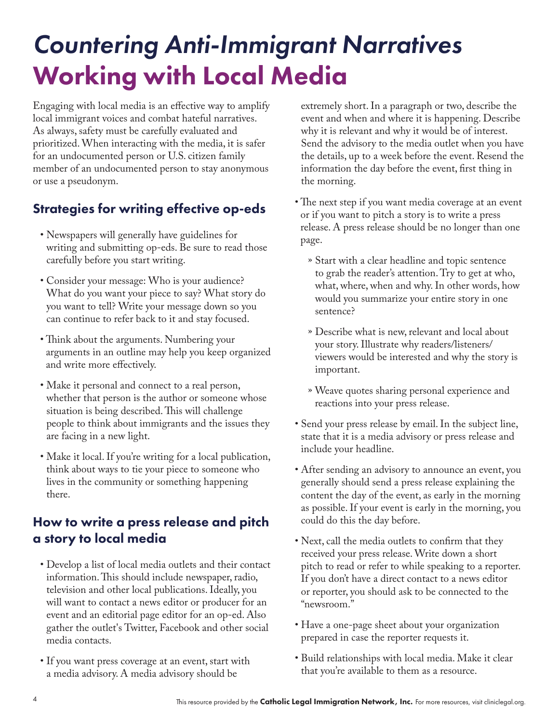# *Countering Anti-Immigrant Narratives* Working with Local Media

Engaging with local media is an effective way to amplify local immigrant voices and combat hateful narratives. As always, safety must be carefully evaluated and prioritized. When interacting with the media, it is safer for an undocumented person or U.S. citizen family member of an undocumented person to stay anonymous or use a pseudonym.

## Strategies for writing effective op-eds

- Newspapers will generally have guidelines for writing and submitting op-eds. Be sure to read those carefully before you start writing.
- Consider your message: Who is your audience? What do you want your piece to say? What story do you want to tell? Write your message down so you can continue to refer back to it and stay focused.
- Think about the arguments. Numbering your arguments in an outline may help you keep organized and write more effectively.
- Make it personal and connect to a real person, whether that person is the author or someone whose situation is being described. This will challenge people to think about immigrants and the issues they are facing in a new light.
- Make it local. If you're writing for a local publication, think about ways to tie your piece to someone who lives in the community or something happening there.

### How to write a press release and pitch a story to local media

- Develop a list of local media outlets and their contact information. This should include newspaper, radio, television and other local publications. Ideally, you will want to contact a news editor or producer for an event and an editorial page editor for an op-ed. Also gather the outlet's Twitter, Facebook and other social media contacts.
- If you want press coverage at an event, start with a media advisory. A media advisory should be

extremely short. In a paragraph or two, describe the event and when and where it is happening. Describe why it is relevant and why it would be of interest. Send the advisory to the media outlet when you have the details, up to a week before the event. Resend the information the day before the event, first thing in the morning.

- The next step if you want media coverage at an event or if you want to pitch a story is to write a press release. A press release should be no longer than one page.
	- » Start with a clear headline and topic sentence to grab the reader's attention. Try to get at who, what, where, when and why. In other words, how would you summarize your entire story in one sentence?
	- » Describe what is new, relevant and local about your story. Illustrate why readers/listeners/ viewers would be interested and why the story is important.
	- » Weave quotes sharing personal experience and reactions into your press release.
- Send your press release by email. In the subject line, state that it is a media advisory or press release and include your headline.
- After sending an advisory to announce an event, you generally should send a press release explaining the content the day of the event, as early in the morning as possible. If your event is early in the morning, you could do this the day before.
- Next, call the media outlets to confirm that they received your press release. Write down a short pitch to read or refer to while speaking to a reporter. If you don't have a direct contact to a news editor or reporter, you should ask to be connected to the "newsroom."
- Have a one-page sheet about your organization prepared in case the reporter requests it.
- Build relationships with local media. Make it clear that you're available to them as a resource.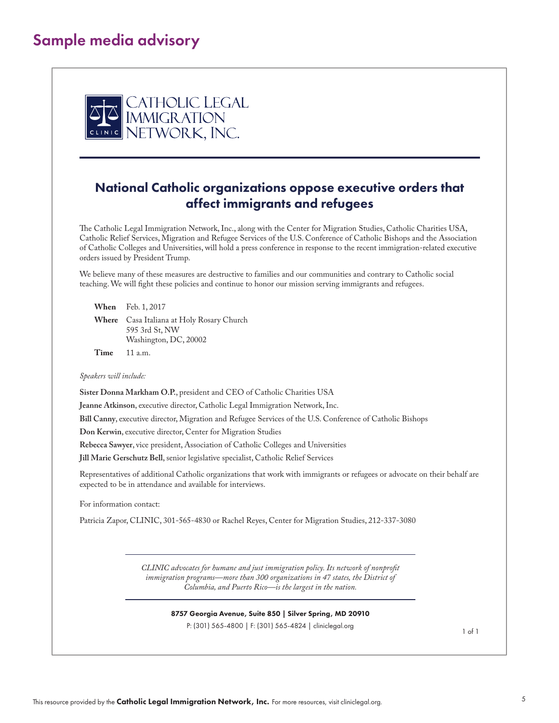## Sample media advisory



#### National Catholic organizations oppose executive orders that affect immigrants and refugees

The Catholic Legal Immigration Network, Inc., along with the Center for Migration Studies, Catholic Charities USA, Catholic Relief Services, Migration and Refugee Services of the U.S. Conference of Catholic Bishops and the Association of Catholic Colleges and Universities, will hold a press conference in response to the recent immigration-related executive orders issued by President Trump.

We believe many of these measures are destructive to families and our communities and contrary to Catholic social teaching. We will fight these policies and continue to honor our mission serving immigrants and refugees.

**When** Feb. 1, 2017

**Where** Casa Italiana at Holy Rosary Church 595 3rd St, NW Washington, DC, 20002

**Time** 11 a.m.

*Speakers will include:* 

**Sister Donna Markham O.P.**, president and CEO of Catholic Charities USA

**Jeanne Atkinson**, executive director, Catholic Legal Immigration Network, Inc.

**Bill Canny**, executive director, Migration and Refugee Services of the U.S. Conference of Catholic Bishops

**Don Kerwin**, executive director, Center for Migration Studies

**Rebecca Sawyer**, vice president, Association of Catholic Colleges and Universities

**Jill Marie Gerschutz Bell**, senior legislative specialist, Catholic Relief Services

Representatives of additional Catholic organizations that work with immigrants or refugees or advocate on their behalf are expected to be in attendance and available for interviews.

For information contact:

Patricia Zapor, CLINIC, 301-565-4830 or Rachel Reyes, Center for Migration Studies, 212-337-3080

*CLINIC advocates for humane and just immigration policy. Its network of nonprofit immigration programs—more than 300 organizations in 47 states, the District of Columbia, and Puerto Rico—is the largest in the nation.* 

8757 Georgia Avenue, Suite 850 | Silver Spring, MD 20910

P: (301) 565-4800 | F: (301) 565-4824 | cliniclegal.org

1 of 1